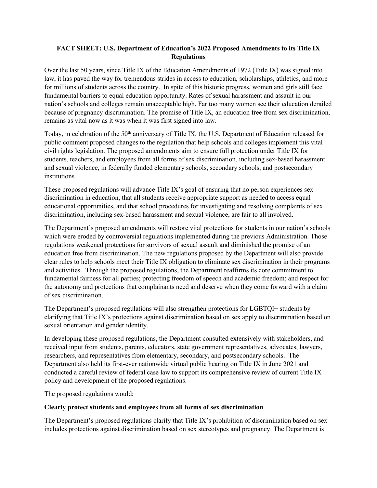#### **FACT SHEET: U.S. Department of Education's 2022 Proposed Amendments to its Title IX Regulations**

Over the last 50 years, since Title IX of the Education Amendments of 1972 (Title IX) was signed into law, it has paved the way for tremendous strides in access to education, scholarships, athletics, and more for millions of students across the country. In spite of this historic progress, women and girls still face fundamental barriers to equal education opportunity. Rates of sexual harassment and assault in our nation's schools and colleges remain unacceptable high. Far too many women see their education derailed because of pregnancy discrimination. The promise of Title IX, an education free from sex discrimination, remains as vital now as it was when it was first signed into law.

Today, in celebration of the 50<sup>th</sup> anniversary of Title IX, the U.S. Department of Education released for public comment proposed changes to the regulation that help schools and colleges implement this vital civil rights legislation. The proposed amendments aim to ensure full protection under Title IX for students, teachers, and employees from all forms of sex discrimination, including sex-based harassment and sexual violence, in federally funded elementary schools, secondary schools, and postsecondary institutions.

These proposed regulations will advance Title IX's goal of ensuring that no person experiences sex discrimination in education, that all students receive appropriate support as needed to access equal educational opportunities, and that school procedures for investigating and resolving complaints of sex discrimination, including sex-based harassment and sexual violence, are fair to all involved.

The Department's proposed amendments will restore vital protections for students in our nation's schools which were eroded by controversial regulations implemented during the previous Administration. Those regulations weakened protections for survivors of sexual assault and diminished the promise of an education free from discrimination. The new regulations proposed by the Department will also provide clear rules to help schools meet their Title IX obligation to eliminate sex discrimination in their programs and activities. Through the proposed regulations, the Department reaffirms its core commitment to fundamental fairness for all parties; protecting freedom of speech and academic freedom; and respect for the autonomy and protections that complainants need and deserve when they come forward with a claim of sex discrimination.

The Department's proposed regulations will also strengthen protections for LGBTQI+ students by clarifying that Title IX's protections against discrimination based on sex apply to discrimination based on sexual orientation and gender identity.

In developing these proposed regulations, the Department consulted extensively with stakeholders, and received input from students, parents, educators, state government representatives, advocates, lawyers, researchers, and representatives from elementary, secondary, and postsecondary schools. The Department also held its first-ever nationwide virtual public hearing on Title IX in June 2021 and conducted a careful review of federal case law to support its comprehensive review of current Title IX policy and development of the proposed regulations.

The proposed regulations would:

#### **Clearly protect students and employees from all forms of sex discrimination**

The Department's proposed regulations clarify that Title IX's prohibition of discrimination based on sex includes protections against discrimination based on sex stereotypes and pregnancy. The Department is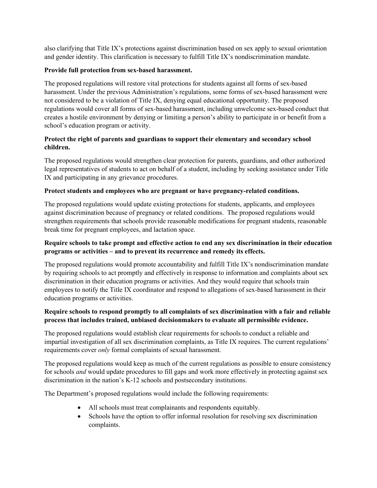also clarifying that Title IX's protections against discrimination based on sex apply to sexual orientation and gender identity. This clarification is necessary to fulfill Title IX's nondiscrimination mandate.

#### **Provide full protection from sex-based harassment.**

The proposed regulations will restore vital protections for students against all forms of sex-based harassment. Under the previous Administration's regulations, some forms of sex-based harassment were not considered to be a violation of Title IX, denying equal educational opportunity. The proposed regulations would cover all forms of sex-based harassment, including unwelcome sex-based conduct that creates a hostile environment by denying or limiting a person's ability to participate in or benefit from a school's education program or activity.

### **Protect the right of parents and guardians to support their elementary and secondary school children.**

The proposed regulations would strengthen clear protection for parents, guardians, and other authorized legal representatives of students to act on behalf of a student, including by seeking assistance under Title IX and participating in any grievance procedures.

### **Protect students and employees who are pregnant or have pregnancy-related conditions.**

The proposed regulations would update existing protections for students, applicants, and employees against discrimination because of pregnancy or related conditions. The proposed regulations would strengthen requirements that schools provide reasonable modifications for pregnant students, reasonable break time for pregnant employees, and lactation space.

### **Require schools to take prompt and effective action to end any sex discrimination in their education programs or activities – and to prevent its recurrence and remedy its effects.**

The proposed regulations would promote accountability and fulfill Title IX's nondiscrimination mandate by requiring schools to act promptly and effectively in response to information and complaints about sex discrimination in their education programs or activities. And they would require that schools train employees to notify the Title IX coordinator and respond to allegations of sex-based harassment in their education programs or activities.

### **Require schools to respond promptly to all complaints of sex discrimination with a fair and reliable process that includes trained, unbiased decisionmakers to evaluate all permissible evidence.**

The proposed regulations would establish clear requirements for schools to conduct a reliable and impartial investigation of all sex discrimination complaints, as Title IX requires. The current regulations' requirements cover *only* formal complaints of sexual harassment.

The proposed regulations would keep as much of the current regulations as possible to ensure consistency for schools *and* would update procedures to fill gaps and work more effectively in protecting against sex discrimination in the nation's K-12 schools and postsecondary institutions.

The Department's proposed regulations would include the following requirements:

- All schools must treat complainants and respondents equitably.
- Schools have the option to offer informal resolution for resolving sex discrimination complaints.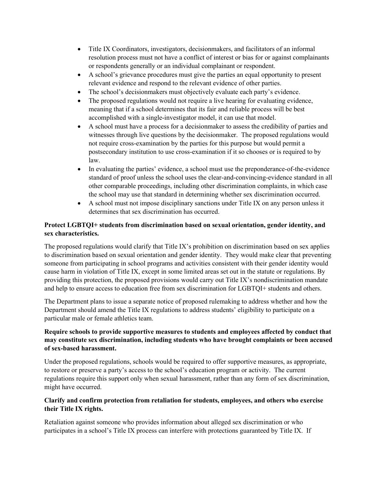- Title IX Coordinators, investigators, decisionmakers, and facilitators of an informal resolution process must not have a conflict of interest or bias for or against complainants or respondents generally or an individual complainant or respondent.
- A school's grievance procedures must give the parties an equal opportunity to present relevant evidence and respond to the relevant evidence of other parties.
- The school's decisionmakers must objectively evaluate each party's evidence.
- The proposed regulations would not require a live hearing for evaluating evidence, meaning that if a school determines that its fair and reliable process will be best accomplished with a single-investigator model, it can use that model.
- A school must have a process for a decisionmaker to assess the credibility of parties and witnesses through live questions by the decisionmaker. The proposed regulations would not require cross-examination by the parties for this purpose but would permit a postsecondary institution to use cross-examination if it so chooses or is required to by law.
- In evaluating the parties' evidence, a school must use the preponderance-of-the-evidence standard of proof unless the school uses the clear-and-convincing-evidence standard in all other comparable proceedings, including other discrimination complaints, in which case the school may use that standard in determining whether sex discrimination occurred.
- A school must not impose disciplinary sanctions under Title IX on any person unless it determines that sex discrimination has occurred.

# **Protect LGBTQI+ students from discrimination based on sexual orientation, gender identity, and sex characteristics.**

The proposed regulations would clarify that Title IX's prohibition on discrimination based on sex applies to discrimination based on sexual orientation and gender identity. They would make clear that preventing someone from participating in school programs and activities consistent with their gender identity would cause harm in violation of Title IX, except in some limited areas set out in the statute or regulations. By providing this protection, the proposed provisions would carry out Title IX's nondiscrimination mandate and help to ensure access to education free from sex discrimination for LGBTQI+ students and others.

The Department plans to issue a separate notice of proposed rulemaking to address whether and how the Department should amend the Title IX regulations to address students' eligibility to participate on a particular male or female athletics team.

## **Require schools to provide supportive measures to students and employees affected by conduct that may constitute sex discrimination, including students who have brought complaints or been accused of sex-based harassment.**

Under the proposed regulations, schools would be required to offer supportive measures, as appropriate, to restore or preserve a party's access to the school's education program or activity. The current regulations require this support only when sexual harassment, rather than any form of sex discrimination, might have occurred.

### **Clarify and confirm protection from retaliation for students, employees, and others who exercise their Title IX rights.**

Retaliation against someone who provides information about alleged sex discrimination or who participates in a school's Title IX process can interfere with protections guaranteed by Title IX. If